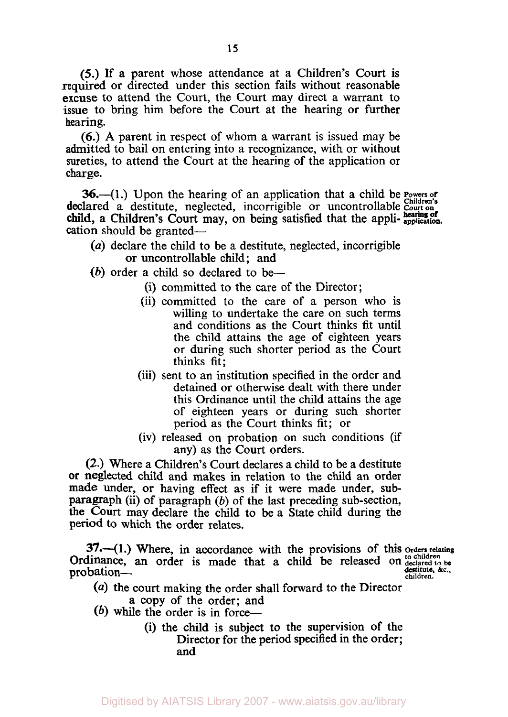*(5.)* If a parent whose attendance at a Children's Court is required or directed under this section fails without reasonable excuse to attend the Court, the Court may direct a warrant to issue to bring him before the Court at the hearing or further hearing.

*(6.)* **A** parent in respect of whom a warrant is issued may be admitted to bail on entering into a recognizance, with or without sureties, to attend the Court at the hearing of the application or charge.

36.-(1.) Upon the hearing of an application that a child be **Powers** of declared a destitute, neglected, incorrigible or uncontrollable Court on cation should be granted**hearing of** child, a Children's Court may, on being satisfied that the appli- **application.** 

- *(a)* declare the child to be a destitute, neglected, incorrigible or uncontrollable child; and
- (b) order a child so declared to be—
	- (i) committed to the care of the Director ;
	- (ii) committed to the care of a person who is willing to undertake the care on such terms and conditions as the Court thinks fit until the child attains the age of eighteen years or during such shorter period as the Court thinks fit;
	- (iii) sent to an institution specified in the order and detained or otherwise dealt with there under this Ordinance until the child attains the age of eighteen years or during such shorter period as the Court thinks fit; or
	- (iv) released on probation on such conditions (if any) as the Court orders.

**(2.)** Where a Children's Court declares a child to be a destitute or neglected child and makes in relation to the child an order made under, **or** having effect as if it were made under, subparagraph (ii) of paragraph *(b)* of the last preceding sub-section, the Court may declare the child to be a State child during the period to which the order relates.

**37.**—(1.) Where, in accordance with the provisions of this orders relating Ordinance, an order is made that a child be released on  $\frac{1}{10}$  children be probation-<br> **destitute, &c.**<br>
children.

- *(a)* the court making the order shall forward to the Director
	- a copy of the order; and
- (b) while the order is in force-
	- (i) the child is subject to the supervision of the Director for the period specified in the order; and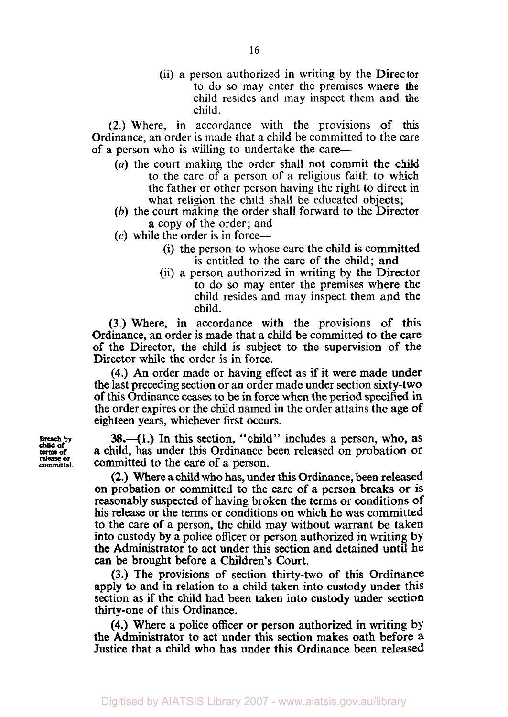(ii) a person authorized in writing by the Director to do so may enter the premises where **the**  child resides and may inspect them and the child.

(2.) Where, in accordance with the provisions of **this**  Ordinance, an order is made that a child be committed to the care of a person who is willing to undertake the care—

- *(a)* the court making the order shall not commit the child to the care of a person of a religious faith to which the father or other person having the right to direct in what religion the child shall be educated objects;
- (b) the court making the order shall forward to the Director a copy of the order ; and
- **(c)** while the order is in force-
	- (i) the person to whose care the child is committed is entitled to the care of the child; and
	- (ii) a person authorized in writing by the Director to do so may enter the premises where the child resides and may inspect them and the child.

(3.) Where, in accordance with the provisions of this Ordinance, an order is made that a child be committed to the care of the Director, the child is subject to the supervision of the Director while the order is in force.

**(4.)** An order made or having effect as if it were made under the last preceding section or an order made under section sixty-two of this Ordinance ceases to be in force when the period specified in the order expires or the child named in the order attains the age of eighteen years, whichever first occurs.

**38.-(1.)** In this section, "child" includes a person, who, **as**  a child, has under this Ordinance been released on probation or committed to the care of a person.

(2.) Where a child who has, under this Ordinance, been released on probation or committed to the care of a person breaks or is reasonably suspected of having broken the terms or conditions **of**  his release or the terms or conditions **on** which he was committed to the care of a person, the child may without warrant be taken into custody by a police officer or person authorized in writing by *the* Administrator to act under **this** section and detained until he *can* be brought before a Children's Court.

(3.) The provisions of section thirty-two of this Ordinance apply to and in relation to a child taken into custody under this section as if the child had been taken into custody under section thirty-one of this Ordinance.

**(4.)** Where a police officer or person authorized in writing by the Administrator to act under this **section** makes oath before **a**  Justice that a child who has under this Ordinance been released

**Breach by terms of**  *committal.*  **child of**  *release* **or**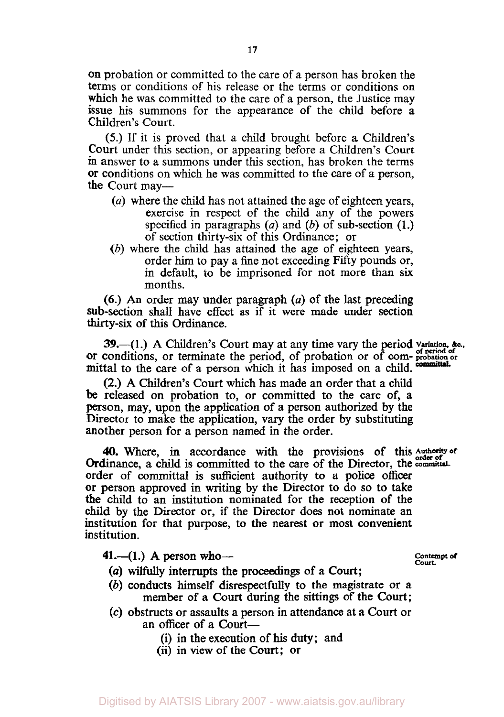on probation or committed to the care of a person has broken the terms or conditions of his release or the terms or conditions on which he was committed to the care of a person, the Justice may issue his summons for the appearance of the child before a Children's Court.

*(5.)* If it is proved that a child brought before a Children's Court under this section, or appearing before a Children's Court **in** answer to a summons under this section, has broken the terms or conditions on which he was committed to the care of a person, the Court may—

- *(a)* where the child has not attained the age of eighteen years, exercise in respect of the child any of the powers specified in paragraphs *(a)* and *(b)* of sub-section **(1.)**  of section thirty-six of this Ordinance; or
- *(b)* where the child has attained the age of eighteen years, order him to pay a fine not exceeding Fifty pounds or, in default, to be imprisoned for not more than six months.

*(6.)* **An** order may under paragraph *(a)* of the last preceding sub-section shall have effect as if it were made under section **thirty-six** of this Ordinance.

**39.**-(1.) A Children's Court may at any time vary the period variation, &c., or conditions, or terminate the period, of probation or of **corn- probation or**  mittal to the care of a person which it has imposed on a child.

(2.) **A** Children's Court which has made an order that a child be released on probation to, or committed to the care of, a person, may, upon the application of a person authorized by the Director to make the application, vary the order by substituting another person for a person named in the order.

**40.** Where, in accordance with the provisions of this Authority of Ordinance, a child is committed to the care of the Director, the committal. order of committal *is* sufficient authority to a police officer or person approved in writing by the Director to do *so* to take the child to an institution nominated for the reception of the child **by** the Director or, if the Director does not nominate an institution for that purpose, to the nearest or most convenient institution.

**41.**—(1.) A person who—

**Contempt of** 

- *(a)* **wilfully** interrupts the proceedings **of** *a* Court;
- *(b)* conducts himself disrespectfully to the magistrate or a member of a Court during the sittings of the Court;
- **(c)** obstructs or assaults a person in attendance at a Court or an officer of a Court-
	- (i) in the execution of his duty; and
	- (ii) in view of the Court; or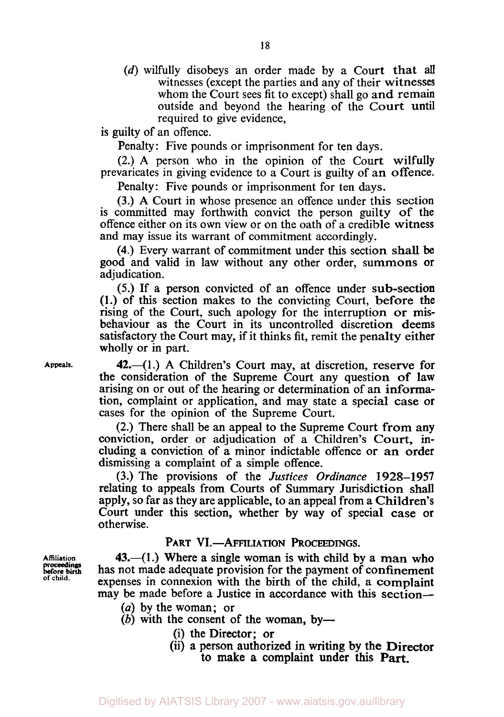(d) wilfully disobeys an order made by a Court that all witnesses (except the parties and any of their witnesses whom the Court sees fit to except) shall go and remain outside and beyond the hearing of the Court until required to give evidence,

is guilty of an offence.

Penalty: Five pounds or imprisonment for ten days.

(2.) **A** person who in the opinion of the Court wilfully prevaricates in giving evidence to a Court is guilty of an offence.

Penalty: Five pounds or imprisonment for ten days.

(3.) A Court in whose presence an offence under this section is committed may forthwith convict the person guilty **of** the offence either on its own view or on the oath of a credible witness and may issue its warrant of commitment accordingly.

**(4.)** Every warrant of commitment under this section **shall** be good and valid in law without any other order, summons or adjudication.

*(5.)* If a person convicted of an offence under sub-section (1.) of this section makes to the convicting Court, before the rising of the Court, such apology for the interruption or misbehaviour as the Court in its uncontrolled discretion deems satisfactory the Court may, if it thinks fit, remit the penalty either wholly or in part.

**Appeals.** 

 $42$ . $-(1)$  A Children's Court may, at discretion, reserve for the consideration of the Supreme Court any question of law arising on or out of the hearing or determination of an information, complaint or application, and may state a special case or cases for the opinion of the Supreme Court.

(2.) There shall be an appeal to the Supreme Court from any conviction, order or adjudication of a Children's Court, including a conviction of a minor indictable offence or an order dismissing a complaint of a simple offence.

(3.) The provisions of the *Justices Ordinance* 1928-1957 relating to appeals from Courts of Summary Jurisdiction shall apply, so far as they are applicable, to an appeal from a Children's Court under this section, whether by way of special case or otherwise.

## PART VI.-AFFILIATION PROCEEDINGS.

43. $-(1)$  Where a single woman is with child by a man who has not made adequate provision for the payment of confinement expenses in connexion with the birth of the child, a complaint may be made before a Justice in accordance with this section-

- *(a)* by the woman; or
- $(b)$  with the consent of the woman, by-
	- (i) the Director; or
	- (ii) a person authorized in writing by the Director to make a complaint under this **Part.**

**before birth proceedings of child.** 

**Affiliation**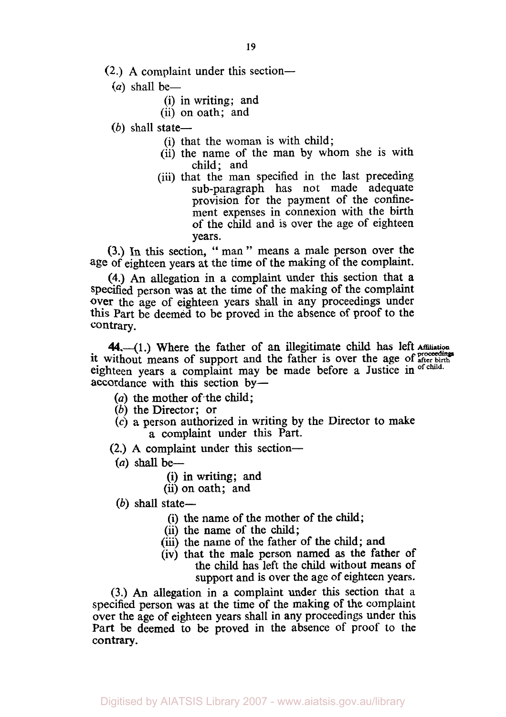- **(2.) A** complaint under this section-
	- $(a)$  shall be-
		- (i) in writing; and
		- (ii) on oath; and
	- $(b)$  shall state-
		- (i) that the woman is with child;
		- (ii) the name of the man by whom she is with child; and
		- (iii) that the man specified in the last preceding sub-paragraph has not made adequate provision for the payment of the confinement expenses in connexion with the birth of the child and is over the age of eighteen years.

**(3.) In** this section, '' man " means a male person over the age of eighteen years at the time of the making of the complaint.

**(4.)** An allegation in a complaint under this section that a specified person was at the time of the making of the complaint **Over** the age of eighteen years shall in any proceedings under this Part be deemed to be proved in the absence of proof to the contrary.

it without means of support and the father is over the age of after birth eighteen years a complaint may be made before a Justice in **of child.**  accordance with this section by- 44.--(1.) Where the father of an illegitimate child has left Affiliation

- *(a)* the mother of the child;
- *(b)* the Director; or
- **(c)** a person authorized in writing by the Director to make a complaint under this Part.
- (2.) **A** complaint under this section-
- $(a)$  shall be—
	- (i) in writing; and
	- **(ii)** on oath; and
- $(b)$  shall state-
	- (i) the name of the mother of the child;
	- (ii) the name of the child;
	- (iii) the name of the father of the child; and
	- (iv) that the male person named **as** the father of the child has left the child without means **of**  support and is over the age of eighteen years.

**(3.) An** allegation in a complaint under this section that a specified person was at the time of the making of the complaint over the age of eighteen years shall in any proceedings under this Part be deemed to be proved in the absence of proof to the contrary.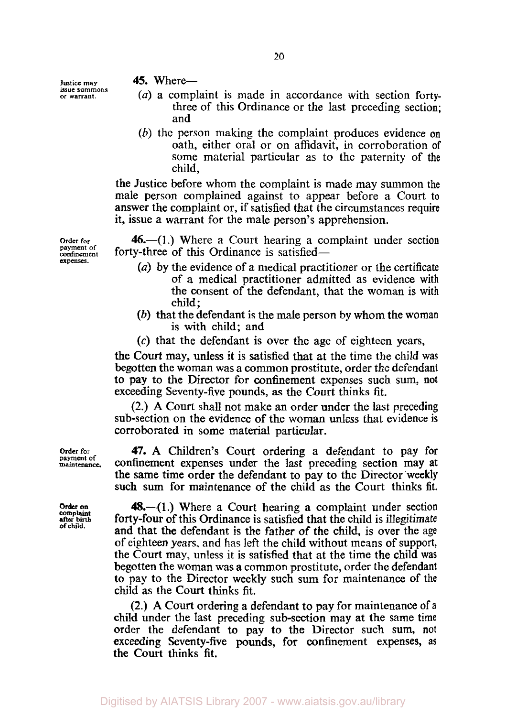**Justice may issue summons or warrant.** 

- **45.** Where—<br>(*a*) a complaint is made in accordance with section fortythree of this Ordinance or the last preceding section; and
- *(b)* the person making the complaint produces evidence **on**  oath, either oral or on affidavit, in corroboration of some material particular as to the paternity of the child,

the Justice before whom the complaint is made may summon the male person complained against to appear before a Court to answer the complaint or, if satisfied that the circumstances require it, issue a warrant for the male person's apprehension.

**46.**—(1.) Where a Court hearing a complaint under section forty-three of this Ordinance is satisfied—

- *(a)* by the evidence of a medical practitioner or the certificate of a medical practitioner admitted as evidence with the consent of the defendant, that the woman is with child;
- *(b)* that the defendant is the male person by whom the woman is with child; and
- **(c)** that the defendant is over the age of eighteen years,

the Court may, unless it is satisfied that at the time the child was begotten the woman was a common prostitute, order the defendant to pay to the Director for confinement expenses such sum, **not**  exceeding Seventy-five pounds, **as** the Court thinks fit.

(2.) **A** Court shall not make **an** order under the last preceding sub-section on the evidence of the woman unless that evidence is corroborated in some material particular.

**47. A** Children's Court ordering a defendant to pay for confinement expenses under the last preceding section may at the same time order the defendant to pay to the Director weekly such sum for maintenance of the child **as** the Court thinks fit.

**48.-(1.)** Where a Court hearing a complaint under section forty-four **of** this Ordinance is satisfied that the child is illegitimate and that the defendant **is** the father of the child, is over the **age**  of eighteen years, and has left the child without means of support, the Court may, unless it is satisfied that at the time the child was begotten the woman was a common prostitute, order the defendant to pay to the Director weekly such sum for maintenance of the child as the Court thinks fit.

(2.) **A** Court ordering a defendant to pay for maintenance **of** a child under the last preceding sub-section may at the same time order the defendant to pay to the Director such sum, not exceeding Seventy-five pounds, for confinement expenses, *as*  the Court thinks fit.

**Order for payment of confinement expenses.** 

**Order for payment of maintenance.** 

**Order on Complaint after** birth **of chiid.**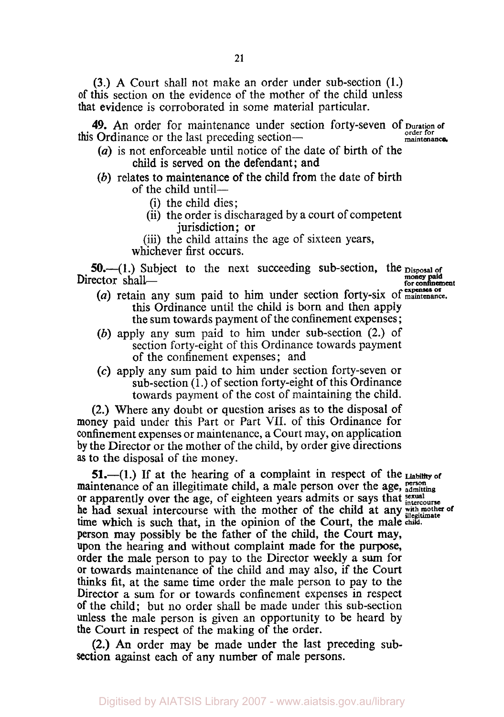**(3.) A** Court shall not make an order under sub-section (1.) **of** this section on the evidence of the mother of the child unless that evidence is corroborated in some material particular.

**49.** An order for maintenance under section forty-seven of **Duration of**  this Ordinance or the last preceding section-<br>
<u>maintenance</u>.

- *(a)* is not enforceable until notice of the date of birth of the child is served on the defendant; and
- *(b)* relates to maintenance of the child from the date of birth of the child until-
	- (i) the child dies;
	- (ii) the order is discharaged by a court of competent jurisdiction; or
	- (iii) the child attains the age of sixteen years, whichever first occurs. whichever first occurs.

**50.**--(1.) Subject to the next succeeding sub-section, the **Disposal of**<br>
Director shall-<br> **expenses or confinement**<br> **expenses or** 

- *(a)* retain any sum paid to him under section forty-six of **maintenance.**  this Ordinance until the child is born and then apply the sum towards payment of the confinement expenses ;
- *(b)* apply any sum paid to him under sub-section (2.) of section forty-eight of this Ordinance towards payment of the confinement expenses; and
- *(c)* apply any sum paid to him under section forty-seven or  $sub-section (1.)$  of section forty-eight of this Ordinance towards payment of the cost of maintaining the child.

(2.) Where any doubt or question arises as to the disposal of money paid under this Part or Part VII. of this Ordinance for confinement expenses or maintenance, a Court may, on application by the Director or the mother of the child, by order give directions **as** to the disposal of the money.

**51.**-(1.) If at the hearing of a complaint in respect of the Liability of maintenance of an illegitimate child, a male person over the age, **person** admitting or apparently over the age, of eighteen years admits or says that **intercourse** he had sexual intercourse with the mother of the child at any with mother of time with his such that in the curious of the Cannt the world illegitimate time which is such that, in the opinion of the Court, the male child. person may possibly be the father of the child, the Court may, upon the hearing and without complaint made for the purpose, order the male person to pay to the Director weekly a **sum** for or towards maintenance of the child and may also, if the Court **thinks** fit, at the same time order the male person to pay to the Director a **sum** for or towards confinement expenses in respect **of** the child; but no order shall be made under this sub-section unless the male person is given an opportunity to be heard by the **Court** in respect of the making of the order.

(2.) An order may be made under the last preceding sub**section** against each of any number **of** male persons.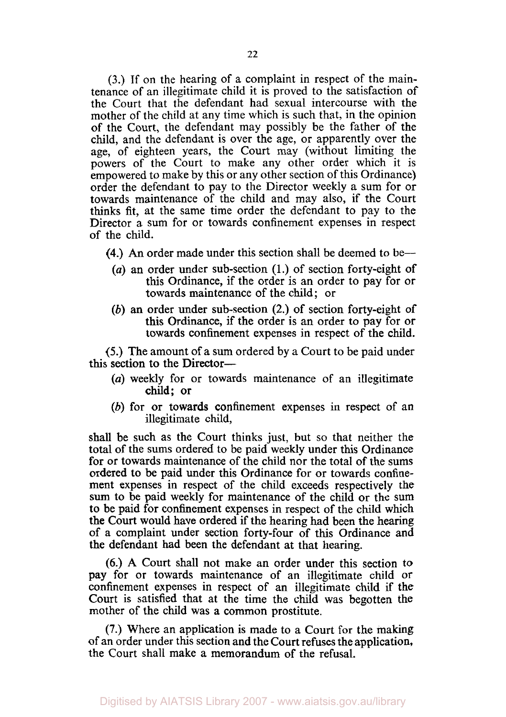**(3.)** If on the hearing of a complaint in respect of the maintenance of an illegitimate child it is proved to the satisfaction of the Court that the defendant had sexual intercourse with the mother of the child at any time which is such that, in the opinion of the Court, the defendant may possibly be the father of the child, and the defendant is over the age, or apparently over the age, of eighteen years, the Court may (without limiting the powers of the Court to make any other order which it is empowered to make by this or any other section of this Ordinance) order the defendant to pay to the Director weekly a sum for or towards maintenance of the child and may also, if the Court thinks fit, at the same time order the defendant to pay to the Director a sum for or towards confinement expenses in respect of the child.

- **(4.)** *An* order made under this section shall be deemed to be-
	- *(a)* an order under sub-section **(1.)** of section forty-eight **of**  this Ordinance, if the order is an order to pay for or towards maintenance of the child; or
	- *(b)* an order under sub-section (2.) of section forty-eight of this Ordinance, if the order is an order to pay for or towards confinement expenses in respect of the child.

*(5.)* The amount of a **sum** ordered by a Court to be paid under this section to the Director-

- *(a)* weekly for or towards maintenance of an illegitimate child; or
- *(b)* for or towards confinement expenses in respect of an illegitimate child,

shall be such as the Court thinks just, but so that neither the total of the sums ordered to be paid weekly under this Ordinance for or towards maintenance of the child nor the total of the sums ordered to be paid under this Ordinance for or towards confinement expenses in respect of the child exceeds respectively the **sum** to be paid weekly for maintenance of the child or the sum **to** be paid for confinement expenses in respect of the child which the Court would have ordered if the hearing had been the hearing of a complaint under section forty-four of this Ordinance and the defendant had been the defendant at that hearing.

*(6.)* **A** Court shall not make an order under this section to pay for or towards maintenance of an illegitimate child or confinement expenses in respect of an illegitimate child if the Court is satisfied that at the time the child was begotten the mother of the child was a common prostitute.

**(7.)** Where an application is made to a Court for the making of an order under this section and the Court refuses the application, the Court shall make a memorandum of the refusal.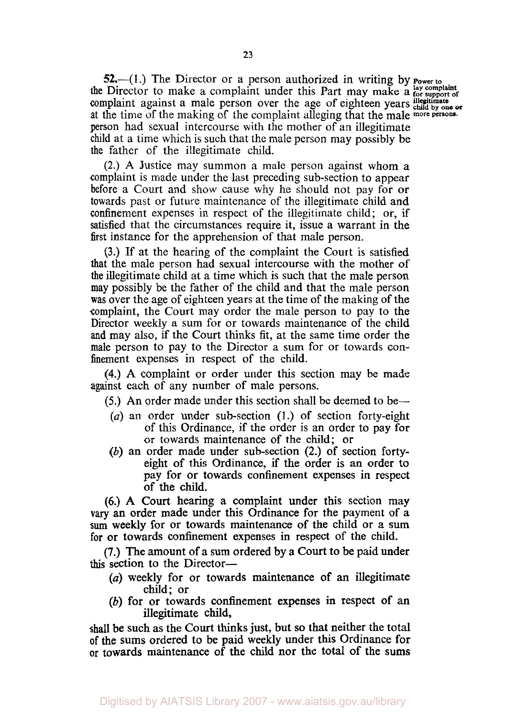**52.**—(1.) The Director or a person authorized in writing by **Power to** the Director to make a complaint under this Part may make a **lay complaint** complaint against a male person over the age of eighteen years child by one or at the time of the making of the complaint alleging that the male more persons. person had sexual intercourse with the mother of an illegitimate child at a time which is such that the male person may possibly be the father of the illegitimate child.

(2.) **A** Justice may summon a male person against whom a complaint is made under the last preceding sub-section to appear before a Court and show cause why he should not pay for or towards past or future maintenance of the illegitimate child and confinement expenses in respect of the illegitimate child; or, if satisfied that the circumstances require it, issue a warrant in the first instance for the apprehension of that male person.

**(3.)** If at the hearing of the complaint the Court is satisfied that the male person had sexual intercourse with the mother of the illegitimate child at a time which is such that the male person may possibly be the father of the child and that the male person was over the age of eighteen years at the time of the making of the complaint, the Court may order the male person to pay to the Director weekly a sum for or towards maintenance of the child and may also, if the Court thinks fit, at the same time order the male person to pay to the Director a sum for or towards confinement expenses in respect of the child.

**(4.) A** complaint or order under this section may be made against each of any number of male persons.

*(5.)* An order made under this section shall be deemed to be-

- *(a)* an order under sub-section **(1.)** of section forty-eight of this Ordinance, if the order is an order to pay for or towards maintenance of the child; or
- *(b)* an order made under sub-section (2.) of section fortyeight of this Ordinance, if the order is an order to pay for or towards confinement expenses in respect of the child.

*(6.)* **A** Court hearing a complaint under this section may **vary** an order made under this Ordinance for the payment of a **sum** weekly for or towards maintenance of the child or a sum for or towards confinement expenses in respect of the child.

**(7.)** The amount of a sum ordered by a Court to be paid under this section to the Director-

- *(a)* weekly for or towards maintenance of an illegitimate child; or
- *(b)* for or towards confinement expenses in respect of an illegitimate child,

**shall** be such **as** the Court thinks just, but so that neither the total **of** the sums ordered to be paid weekly under this Ordinance for **or** towards maintenance **of** the child nor the total of the sums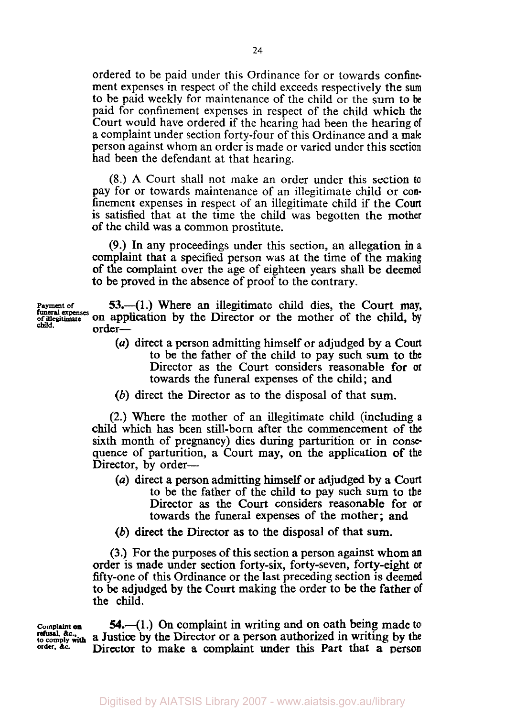ordered to be paid under this Ordinance for or towards confinement expenses in respect of the child exceeds respectively the sum to be paid weekly for maintenance of the child or the sum to be paid for confinement expenses in respect of the child which the Court would have ordered if the hearing had been the hearing of a complaint under section forty-four of this Ordinance and a male person against whom an order is made or varied under this section had been the defendant at that hearing.

(8.) A Court shall not make an order under this section to pay for or towards maintenance of an illegitimate child or confinement expenses in respect of an illegitimate child if the Court is satisfied that at the time the child was begotten the mother of the child was a common prostitute.

(9.) In any proceedings under this section, an allegation in a complaint that a specified person was at the time of the making of the complaint over the age of eighteen years shall be deemed to be proved in the absence of proof to the contrary.

Payment of **53.**—(1.) Where an illegitimate child dies, the Court may, funeral expenses on application by the Director or the mother of the child, by the illegitimate **on** application by the Director or the mother of the child, by child. order-

- *(a)* direct a person admitting himself or adjudged by **a** Court to be the father of the child to pay such sum to **the**  Director as the Court considers reasonable for or towards the funeral expenses of the child; **and**
- (b) direct the Director as to the disposal of that **sum.**

(2.) Where the mother of an illegitimate child (including **<sup>a</sup>** child which has been still-born after the commencement of the sixth month of pregnancy) dies during parturition or in consequence of parturition, a Court may, on the application of the Director, by order---

- *(a)* direct a person admitting **himself** or adjudged by a **Court**  to be the father of the child to pay such sum to the Director **as** the Court considers reasonable for or towards the funeral expenses of the mother; **and**
- *(b)* direct the Director **as** to the disposal of that sum.

(3.) For the purposes of this section a person against whom **an**  order is made under section forty-six, forty-seven, forty-eight or fifty-one of this Ordinance or the last preceding section is deemed to be adjudged by the Court making the order to be the father of the child.

**refusal** &c.

**[Complaint](http://Compl.int) 54.-(1** .) On complaint in writing and on oath being made **to to comply with a Justice by the Director or a person authorized in writing by the**<br>
<u>botomply</u> with a Director to make a complaint under this Part that a passen **order, &c. Director** to make **a** complaint under this Part that **a** person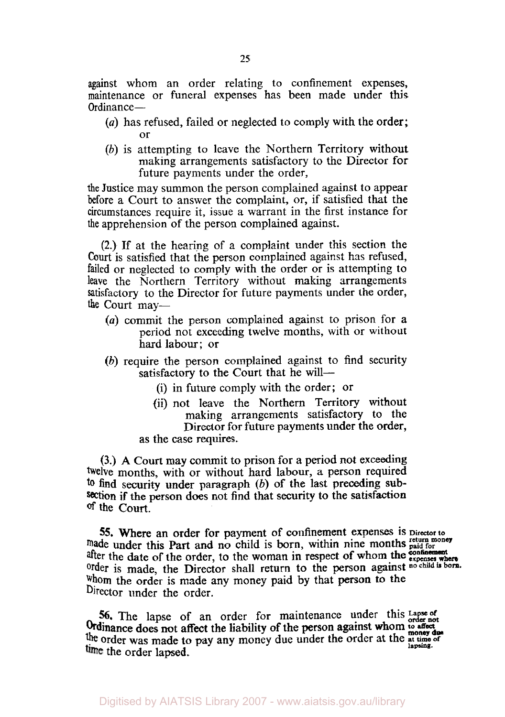against whom an order relating to confinement expenses, maintenance or funeral expenses has been made under this Ordinance-

- *(a)* has refused, failed or neglected to comply with the order; or
- *(b)* is attempting to leave the Northern Territory without making arrangements satisfactory to the Director for future payments under the order,

the Justice may summon the person complained against to appear before a Court to answer the complaint, or, if satisfied that the circumstances require it, issue a warrant in the first instance for **the** apprehension of the person complained against.

(2.) **If** at the hearing of a complaint under this section the **Court** is satisfied that the person complained against has refused, failed or neglected to comply with the order or is attempting to leave the Northern Territory without making arrangements satisfactory to the Director for future payments under the order, the Court may-

- *(a)* commit the person complained against to prison for a period not exceeding twelve months, with or without hard labour; or
- *(b)* require the person complained against to find security satisfactory to the Court that he will-
	- **(i)** in future comply with the order; or
	- (ii) not leave the Northern Territory without making arrangements satisfactory to the Director for future payments under the order,
	- **as** the case requires.

**(3.) A** Court may commit to prison for a period not exceeding twelve months, with or without hard labour, a person required **to** find security under paragraph *(b)* of the last preceding subsection if the person does not find that security to the satisfaction of the **Court.** 

**55. Where an order for payment of confinement expenses is Director to made under this Part and no child is born, within nine months paid for order** is made, the Director shall return to the person **against no child is born.** whom the order is made any money paid by that **person** to the Director under the order. after the date of the order, to the woman in respect of whom the **expenses** wh

56. The lapse of an order for maintenance under this Lapse of order not the order was made to pay any money due under the order at the **at the set of the set of lapsing**. Ordinance does not affect the liability of the person against whom **<sup>t</sup>***0 affect*  **money due**  time the order lapsed.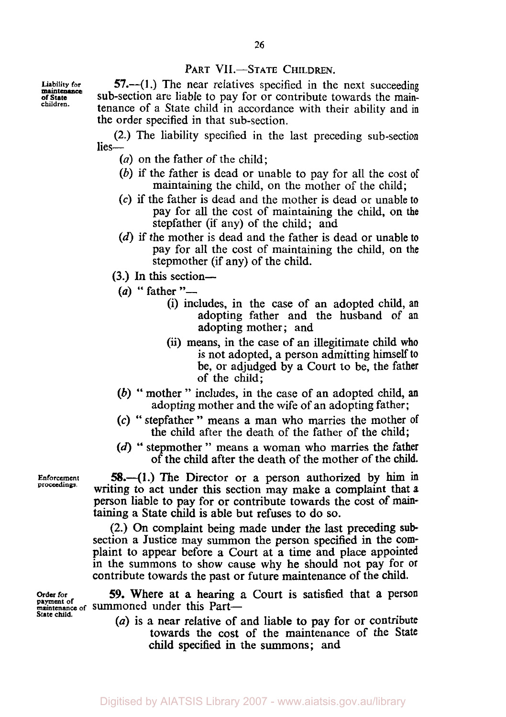## PART VII.-STATE CHILDREN.

**Liability for of State maintmance children.** 

**57.**—(1.) The near relatives specified in the next succeeding sub-section are liable to pay for or contribute towards the maintenance of a State child in accordance with their ability and in the order specified in that sub-section.

(2.) The liability specified in the last preceding sub-section lies-

- *(a)* on the father of the child;
- *(b)* if the father is dead or unable to pay for all the cost **of**  maintaining the child, on the mother of the child;
- *(c)* if the father is dead and the mother is dead or unable to pay for all the cost of maintaining the child, **on the**  stepfather (if any) of the child; and
- **(d)** if the mother is dead and the father is dead or unable to pay for all the cost of maintaining the child, on the stepmother (if any) of the child.
- **(3.)** In **this** section stepmother (*i*)<br>*(a)* **f** father "--<br>*(i)* include
	- - (i) includes, in the case of an adopted child, an adopting father and the husband of an adopting mother; and
		- (ii) means, in the case of an illegitimate child **who**  is not adopted, a person admitting himself **to**  be, or adjudged by a Court to be, the father of the child;
	- *(b)* " mother " includes, in the case of an adopted child, **an**  adopting mother and the wife of an adopting father;
	- *(c)* " stepfather " means a man who marries the mother **of**  the child after the death of the father of the child;
	- **(d)** " stepmother " means a woman who marries the father of the child after the death of the mother of the child.

**58.-(1.)** The Director or a person authorized by him **in**  writing to act under this section may make a complaint that a person liable to pay for or contribute towards the cost of **main**taining a State child **is** able but refuses to do **so.** 

(2.) On complaint being made under the last preceding **sub**  section a Justice may summon the person specified in the complaint to appear before a Court at a time and place appointed in the summons to show cause why he should not pay for or contribute towards the past or future maintenance of the child.

*59.* Where at a hearing a Court is satisfied that **a** person **payment of maintenance of** summoned under this Part-

> *(a)* is a near relative of and liable to pay for or contribute towards the cost of the maintenance of the State child specified **in** the summons; and

**Enforcement proceedings.** 

**Order for** 

**State child.**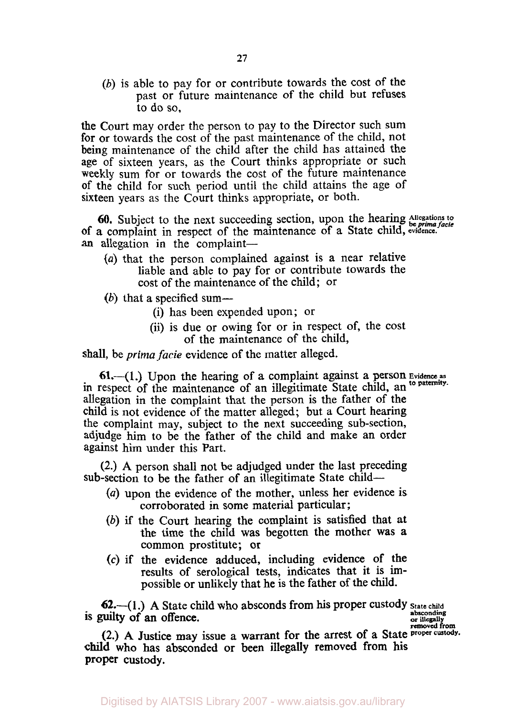*(b)* is able to pay for or contribute towards the cost of the past or future maintenance of the child but refuses to do so,

the Court may order the person to pay to the Director such sum for or towards the cost of the past maintenance of the child, not being maintenance of the child after the child has attained the age of sixteen years, as the Court thinks appropriate or such weekly sum for or towards the cost of the future maintenance of the child for such period until the child attains the age of sixteen years as the Court thinks appropriate, or both.

Of a complaint in respect of the maintenance of a State child, **evidence.**  an allegation in the complaint-**60.** Subject to the next succeeding section, upon the hearing Allegations to be prima facie

- *(a)* that the person complained against is a near relative liable and able to pay for or contribute towards the cost of the maintenance of the child; or
- (b) that a specified sum-
	- (i) has been expended upon; or
	- (ii) is due or owing for or in respect of, the cost of the maintenance of the child,

shall, be *prima facie* evidence of the matter alleged.

in respect of the maintenance of an illegitimate State child, an <sup>to paternity.</sup> allegation in the complaint that the person is the father of the child is not evidence of the matter alleged; but a Court hearing the complaint may, subject to the next succeeding sub-section, adjudge him to be the father of the child and make an order against him under this Part. **61.**—(1.) Upon the hearing of a complaint against a person Evidence as

**(2.) A** person shall not be adjudged under the last preceding sub-section to be the father of an illegitimate State child-

- *(a)* upon the evidence of the mother, unless her evidence is corroborated in some material particular;
- *(b)* if the Court hearing the complaint is satisfied that at the time the child was begotten the mother was a common prostitute; or
- **(c)** if the evidence adduced, including evidence of the results of serological tests, indicates that it is impossible or unlikely that he is the father of the child.

**62.-(1.) A** State child who absconds from his proper custody **State child absconding is** guilty of an offence.

**or illegally removed from** 

(2.) A Justice may issue a warrant for the arrest of a State **proper** c **child** who has absconded or been illegally removed from his proper custody.